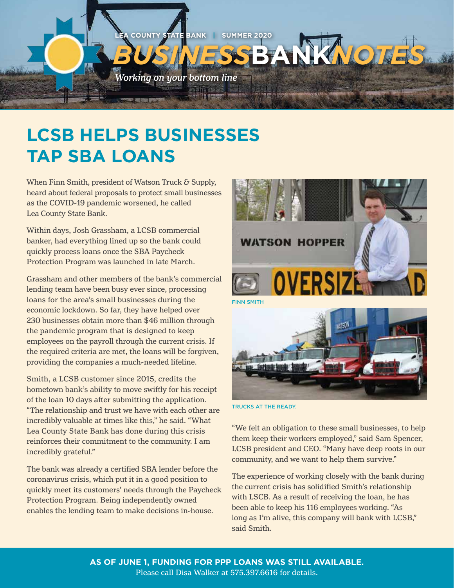

## **LCSB HELPS BUSINESSES TAP SBA LOANS**

When Finn Smith, president of Watson Truck & Supply, heard about federal proposals to protect small businesses as the COVID-19 pandemic worsened, he called Lea County State Bank.

Within days, Josh Grassham, a LCSB commercial banker, had everything lined up so the bank could quickly process loans once the SBA Paycheck Protection Program was launched in late March.

Grassham and other members of the bank's commercial lending team have been busy ever since, processing loans for the area's small businesses during the economic lockdown. So far, they have helped over 230 businesses obtain more than \$46 million through the pandemic program that is designed to keep employees on the payroll through the current crisis. If the required criteria are met, the loans will be forgiven, providing the companies a much-needed lifeline.

Smith, a LCSB customer since 2015, credits the hometown bank's ability to move swiftly for his receipt of the loan 10 days after submitting the application. "The relationship and trust we have with each other are incredibly valuable at times like this," he said. "What Lea County State Bank has done during this crisis reinforces their commitment to the community. I am incredibly grateful."

The bank was already a certified SBA lender before the coronavirus crisis, which put it in a good position to quickly meet its customers' needs through the Paycheck Protection Program. Being independently owned enables the lending team to make decisions in-house.





TRUCKS AT THE READY.

"We felt an obligation to these small businesses, to help them keep their workers employed," said Sam Spencer, LCSB president and CEO. "Many have deep roots in our community, and we want to help them survive."

The experience of working closely with the bank during the current crisis has solidified Smith's relationship with LSCB. As a result of receiving the loan, he has been able to keep his 116 employees working. "As long as I'm alive, this company will bank with LCSB," said Smith.